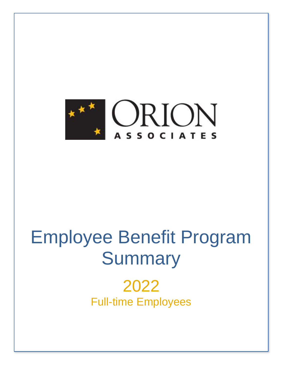

# Employee Benefit Program **Summary**

2022 Full-time Employees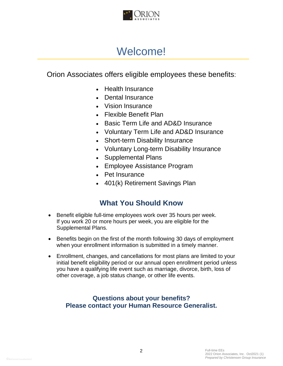

# Welcome!

Orion Associates offers eligible employees these benefits:

- Health Insurance
- Dental Insurance
- Vision Insurance
- Flexible Benefit Plan
- Basic Term Life and AD&D Insurance
- Voluntary Term Life and AD&D Insurance
- Short-term Disability Insurance
- Voluntary Long-term Disability Insurance
- Supplemental Plans
- Employee Assistance Program
- Pet Insurance
- 401(k) Retirement Savings Plan

### **What You Should Know**

- Benefit eligible full-time employees work over 35 hours per week. If you work 20 or more hours per week, you are eligible for the Supplemental Plans.
- Benefits begin on the first of the month following 30 days of employment when your enrollment information is submitted in a timely manner.
- Enrollment, changes, and cancellations for most plans are limited to your initial benefit eligibility period or our annual open enrollment period unless you have a qualifying life event such as marriage, divorce, birth, loss of other coverage, a job status change, or other life events.

#### **Questions about your benefits? Please contact your Human Resource Generalist.**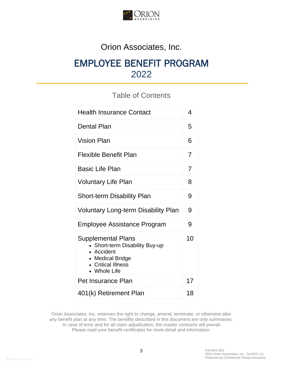

# Orion Associates, Inc.

# EMPLOYEE BENEFIT PROGRAM 2022

### Table of Contents

| <b>Health Insurance Contact</b>                                                                                                   | 4              |
|-----------------------------------------------------------------------------------------------------------------------------------|----------------|
| <b>Dental Plan</b>                                                                                                                | 5              |
| <b>Vision Plan</b>                                                                                                                | 6              |
| <b>Flexible Benefit Plan</b>                                                                                                      | 7              |
| <b>Basic Life Plan</b>                                                                                                            | $\overline{7}$ |
| <b>Voluntary Life Plan</b>                                                                                                        | 8              |
| <b>Short-term Disability Plan</b>                                                                                                 | 9              |
| <b>Voluntary Long-term Disability Plan</b>                                                                                        | 9              |
| <b>Employee Assistance Program</b>                                                                                                | 9              |
| <b>Supplemental Plans</b><br>Short-term Disability Buy-up<br>• Accident<br>• Medical Bridge<br>• Critical Illness<br>• Whole Life | 1 <sub>0</sub> |
| <b>Pet Insurance Plan</b>                                                                                                         | 17             |
| 401(k) Retirement Plan                                                                                                            | 18             |

Orion Associates, Inc. reserves the right to change, amend, terminate, or otherwise alter any benefit plan at any time. The benefits described in this document are only summaries. In case of error and for all claim adjudication, the master contracts will prevail. Please read your benefit certificates for more detail and information.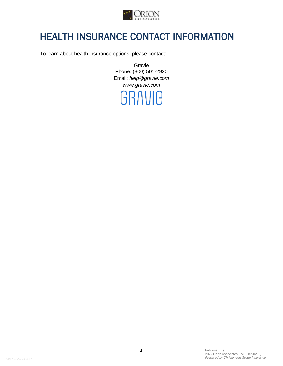

# HEALTH INSURANCE CONTACT INFORMATION

To learn about health insurance options, please contact:

Gravie Phone: (800) 501-2920 Email: *help@gravie.com www.gravie.com*

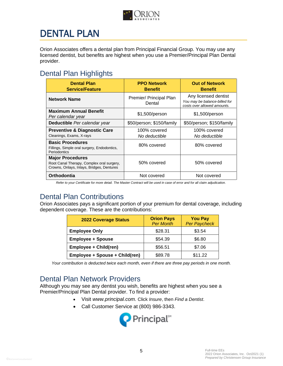

# DENTAL PLAN

Orion Associates offers a dental plan from Principal Financial Group. You may use any licensed dentist, but benefits are highest when you use a Premier/Principal Plan Dental provider.

## Dental Plan Highlights

| <b>Dental Plan</b><br><b>Service/Feature</b>                                                                      | <b>PPO Network</b><br><b>Benefit</b> | <b>Out of Network</b><br><b>Benefit</b>                                              |
|-------------------------------------------------------------------------------------------------------------------|--------------------------------------|--------------------------------------------------------------------------------------|
| <b>Network Name</b>                                                                                               | Premier/ Principal Plan<br>Dental    | Any licensed dentist<br>You may be balance-billed for<br>costs over allowed amounts. |
| <b>Maximum Annual Benefit</b><br>Per calendar year                                                                | \$1,500/person                       | \$1,500/person                                                                       |
| Deductible Per calendar year                                                                                      | \$50/person; \$150/family            | \$50/person; \$150/family                                                            |
| <b>Preventive &amp; Diagnostic Care</b><br>Cleanings, Exams, X-rays                                               | 100% covered<br>No deductible        | 100% covered<br>No deductible                                                        |
| <b>Basic Procedures</b><br>Fillings, Simple oral surgery, Endodontics,<br>Periodontics                            | 80% covered                          | 80% covered                                                                          |
| <b>Major Procedures</b><br>Root Canal Therapy, Complex oral surgery,<br>Crowns, Onlays, Inlays, Bridges, Dentures | 50% covered                          | 50% covered                                                                          |
| Orthodontia                                                                                                       | Not covered                          | Not covered                                                                          |

 *Refer to your Certificate for more detail. The Master Contract will be used in case of error and for all claim adjudication.*

## Dental Plan Contributions

Orion Associates pays a significant portion of your premium for dental coverage, including dependent coverage. These are the contributions:

| <b>2022 Coverage Status</b>    | <b>Orion Pays</b><br><b>Per Month</b> | <b>You Pay</b><br><b>Per Paycheck</b> |
|--------------------------------|---------------------------------------|---------------------------------------|
| <b>Employee Only</b>           | \$28.31                               | \$3.54                                |
| <b>Employee + Spouse</b>       | \$54.39                               | \$6.80                                |
| Employee + Child(ren)          | \$56.51                               | \$7.06                                |
| Employee + Spouse + Child(ren) | \$89.78                               | \$11.22                               |

*Your contribution is deducted twice each month, even if there are three pay periods in one month.*

### Dental Plan Network Providers

Although you may see any dentist you wish, benefits are highest when you see a Premier/Principal Plan Dental provider. To find a provider:

- Visit *www.principal.com.* Click *Insure*, then *Find a Dentist*.
- Call Customer Service at (800) 986-3343.

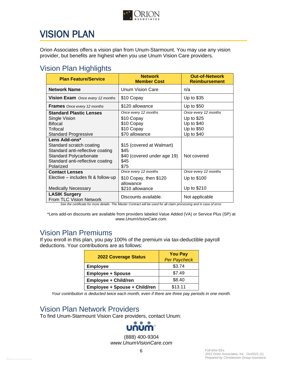

# VISION PLAN

Orion Associates offers a vision plan from Unum-Starmount. You may use any vision provider, but benefits are highest when you use Unum Vision Care providers.

## Vision Plan Highlights

| <b>Plan Feature/Service</b>                                                                                                                                     | <b>Network</b><br><b>Member Cost</b>                                             | <b>Out-of-Network</b><br><b>Reimbursement</b>                                |
|-----------------------------------------------------------------------------------------------------------------------------------------------------------------|----------------------------------------------------------------------------------|------------------------------------------------------------------------------|
| <b>Network Name</b>                                                                                                                                             | <b>Unum Vision Care</b>                                                          | n/a                                                                          |
| Vision Exam Once every 12 months                                                                                                                                | \$10 Copay                                                                       | Up to \$35                                                                   |
| <b>Frames</b> Once every 12 months                                                                                                                              | \$120 allowance                                                                  | Up to \$50                                                                   |
| <b>Standard Plastic Lenses</b><br>Single Vision<br><b>Bifocal</b><br>Trifocal<br><b>Standard Progressive</b>                                                    | Once every 12 months<br>\$10 Copay<br>\$10 Copay<br>\$10 Copay<br>\$70 allowance | Once every 12 months<br>Up to \$25<br>Up to \$40<br>Up to \$50<br>Up to \$40 |
| Lens Add-ons*<br>Standard scratch coating<br>Standard anti-reflective coating<br><b>Standard Polycarbonate</b><br>Standard anti-reflective coating<br>Polarized | \$15 (covered at Walmart)<br>\$45<br>\$40 (covered under age 19)<br>\$45<br>\$75 | Not covered                                                                  |
| <b>Contact Lenses</b><br>Elective – includes fit & follow-up<br><b>Medically Necessary</b>                                                                      | Once every 12 months<br>\$10 Copay, then \$120<br>allowance<br>\$210 allowance   | Once every 12 months<br>Up to \$100<br>Up to \$210                           |
| <b>LASIK Surgery</b><br>From TLC Vision Network                                                                                                                 | Discounts available.                                                             | Not applicable                                                               |

*See the certificate for more details. The Master Contract will be used for all claim processing and in case of error.*

\*Lens add-on discounts are available from providers labeled Value Added (VA) or Service Plus (SP) at *www.UnumVisionCare.com*.

### Vision Plan Premiums

If you enroll in this plan, you pay 100% of the premium via tax-deductible payroll deductions. Your contributions are as follows:

| <b>2022 Coverage Status</b>   | <b>You Pay</b><br><b>Per Paycheck</b> |
|-------------------------------|---------------------------------------|
| <b>Employee</b>               | \$3.74                                |
| <b>Employee + Spouse</b>      | \$7.49                                |
| <b>Employee + Child/ren</b>   | \$8.40                                |
| Employee + Spouse + Child/ren | \$13.11                               |

*Your contribution is deducted twice each month, even if there are three pay periods in one month.*

### Vision Plan Network Providers

To find Unum-Starmount Vision Care providers, contact Unum:



(888) 400-9304 *www.UnumVisionCare.com*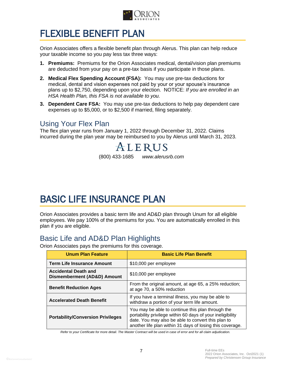

# FLEXIBLE BENEFIT PLAN

Orion Associates offers a flexible benefit plan through Alerus. This plan can help reduce your taxable income so you pay less tax three ways:

- **1. Premiums:** Premiums for the Orion Associates medical, dental/vision plan premiums are deducted from your pay on a pre-tax basis if you participate in those plans.
- **2. Medical Flex Spending Account (FSA):** You may use pre-tax deductions for medical, dental and vision expenses not paid by your or your spouse's insurance plans up to \$2,750, depending upon your election. NOTICE: *If you are enrolled in an HSA Health Plan, this FSA is not available to you.*
- **3. Dependent Care FSA:** You may use pre-tax deductions to help pay dependent care expenses up to \$5,000, or to \$2,500 if married, filing separately.

### Using Your Flex Plan

The flex plan year runs from January 1, 2022 through December 31, 2022. Claims incurred during the plan year may be reimbursed to you by Alerus until March 31, 2023.

ALERUS (800) 433-1685 *www.alerusrb.com*

# BASIC LIFE INSURANCE PLAN

Orion Associates provides a basic term life and AD&D plan through Unum for all eligible employees. We pay 100% of the premiums for you. You are automatically enrolled in this plan if you are eligible.

### Basic Life and AD&D Plan Highlights

Orion Associates pays the premiums for this coverage.

| <b>Unum Plan Feature</b>                                   | <b>Basic Life Plan Benefit</b>                                                                                                                                                                                                     |
|------------------------------------------------------------|------------------------------------------------------------------------------------------------------------------------------------------------------------------------------------------------------------------------------------|
| <b>Term Life Insurance Amount</b>                          | \$10,000 per employee                                                                                                                                                                                                              |
| <b>Accidental Death and</b><br>Dismemberment (AD&D) Amount | \$10,000 per employee                                                                                                                                                                                                              |
| <b>Benefit Reduction Ages</b>                              | From the original amount, at age 65, a 25% reduction;<br>at age 70, a 50% reduction                                                                                                                                                |
| <b>Accelerated Death Benefit</b>                           | If you have a terminal illness, you may be able to<br>withdraw a portion of your term life amount.                                                                                                                                 |
| <b>Portability/Conversion Privileges</b>                   | You may be able to continue this plan through the<br>portability privilege within 60 days of your ineligibility<br>date. You may also be able to convert this plan to<br>another life plan within 31 days of losing this coverage. |

 *Refer to your Certificate for more detail. The Master Contract will be used in case of error and for all claim adjudication.*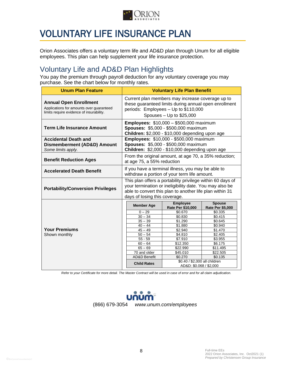

# VOLUNTARY LIFE INSURANCE PLAN

Orion Associates offers a voluntary term life and AD&D plan through Unum for all eligible employees. This plan can help supplement your life insurance protection.

### Voluntary Life and AD&D Plan Highlights

You pay the premium through payroll deduction for any voluntary coverage you may purchase. See the chart below for monthly rates.

| <b>Unum Plan Feature</b>                                                                                              | <b>Voluntary Life Plan Benefit</b>                                                                                                                                                                                 |                                                          |                                          |  |  |
|-----------------------------------------------------------------------------------------------------------------------|--------------------------------------------------------------------------------------------------------------------------------------------------------------------------------------------------------------------|----------------------------------------------------------|------------------------------------------|--|--|
| <b>Annual Open Enrollment</b><br>Applications for amounts over quaranteed<br>limits require evidence of insurability. | Current plan members may increase coverage up to<br>these guaranteed limits during annual open enrollment<br>periods: Employees - Up to \$110,000<br>Spouses $-$ Up to \$25,000                                    |                                                          |                                          |  |  |
| <b>Term Life Insurance Amount</b>                                                                                     | <b>Employees: \$10,000 - \$500,000 maximum</b><br>Spouses: \$5,000 - \$500,000 maximum<br>Children: \$2,000 - \$10,000 depending upon age                                                                          |                                                          |                                          |  |  |
| <b>Accidental Death and</b>                                                                                           |                                                                                                                                                                                                                    | <b>Employees: \$10,000 - \$500,000 maximum</b>           |                                          |  |  |
| <b>Dismemberment (AD&amp;D) Amount</b>                                                                                |                                                                                                                                                                                                                    | Spouses: \$5,000 - \$500,000 maximum                     |                                          |  |  |
| Some limits apply.                                                                                                    |                                                                                                                                                                                                                    | Children: \$2,000 - \$10,000 depending upon age          |                                          |  |  |
| <b>Benefit Reduction Ages</b>                                                                                         | From the original amount, at age 70, a 35% reduction;<br>at age 75, a 55% reduction                                                                                                                                |                                                          |                                          |  |  |
| <b>Accelerated Death Benefit</b>                                                                                      | If you have a terminal illness, you may be able to<br>withdraw a portion of your term life amount.                                                                                                                 |                                                          |                                          |  |  |
| <b>Portability/Conversion Privileges</b>                                                                              | This plan offers a portability privilege within 60 days of<br>your termination or ineligibility date. You may also be<br>able to convert this plan to another life plan within 31<br>days of losing this coverage. |                                                          |                                          |  |  |
|                                                                                                                       | <b>Member Age</b>                                                                                                                                                                                                  | <b>Employee</b><br>Rate Per \$10,000                     | <b>Spouse</b><br><b>Rate Per \$5,000</b> |  |  |
|                                                                                                                       | $0 - 29$                                                                                                                                                                                                           | \$0.670                                                  | \$0.335                                  |  |  |
|                                                                                                                       | $30 - 34$                                                                                                                                                                                                          | \$0.830                                                  | \$0.415                                  |  |  |
|                                                                                                                       | $35 - 39$                                                                                                                                                                                                          | \$1.290                                                  | \$0.645                                  |  |  |
| <b>Your Premiums</b>                                                                                                  | $40 - 44$                                                                                                                                                                                                          | \$1.880                                                  | \$0.940                                  |  |  |
|                                                                                                                       | $45 - 49$<br>$50 - 54$                                                                                                                                                                                             | \$2.940<br>\$4.810                                       | \$1.470<br>\$2.405                       |  |  |
| Shown monthly                                                                                                         | $55 - 59$                                                                                                                                                                                                          | \$7.910                                                  | \$3.955                                  |  |  |
|                                                                                                                       | $60 - 64$                                                                                                                                                                                                          | \$12.350                                                 | \$6.175                                  |  |  |
|                                                                                                                       | $65 - 69$                                                                                                                                                                                                          | \$22.990                                                 | \$11.495                                 |  |  |
|                                                                                                                       | 70 and older                                                                                                                                                                                                       | \$45.010                                                 | \$22.505                                 |  |  |
|                                                                                                                       | <b>AD&amp;D Benefit</b>                                                                                                                                                                                            | \$0.270                                                  | \$0.135                                  |  |  |
|                                                                                                                       |                                                                                                                                                                                                                    |                                                          |                                          |  |  |
|                                                                                                                       | <b>Child Rates</b>                                                                                                                                                                                                 | \$0.40 / \$2,000 all children<br>AD&D: \$0.068 / \$2,000 |                                          |  |  |

 *Refer to your Certificate for more detail. The Master Contract will be used in case of error and for all claim adjudication.*

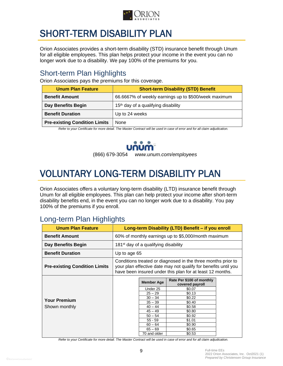

# SHORT-TERM DISABILITY PLAN

Orion Associates provides a short-term disability (STD) insurance benefit through Unum for all eligible employees. This plan helps protect your income in the event you can no longer work due to a disability. We pay 100% of the premiums for you.

### Short-term Plan Highlights

Orion Associates pays the premiums for this coverage.

| <b>Unum Plan Feature</b>             | <b>Short-term Disability (STD) Benefit</b>           |
|--------------------------------------|------------------------------------------------------|
| <b>Benefit Amount</b>                | 66.6667% of weekly earnings up to \$500/week maximum |
| Day Benefits Begin                   | 15 <sup>th</sup> day of a qualifying disability      |
| <b>Benefit Duration</b>              | Up to 24 weeks                                       |
| <b>Pre-existing Condition Limits</b> | None                                                 |

*Refer to your Certificate for more detail. The Master Contract will be used in case of error and for all claim adjudication.*



(866) 679-3054 *www.unum.com/employees*

# VOLUNTARY LONG-TERM DISABILITY PLAN

Orion Associates offers a voluntary long-term disability (LTD) insurance benefit through Unum for all eligible employees. This plan can help protect your income after short-term disability benefits end, in the event you can no longer work due to a disability. You pay 100% of the premiums if you enroll.

## Long-term Plan Highlights

| <b>Unum Plan Feature</b>             | Long-term Disability (LTD) Benefit - if you enroll                                                                                                                                           |                                                                                                                                                                    |                                                                                                                                                            |  |  |
|--------------------------------------|----------------------------------------------------------------------------------------------------------------------------------------------------------------------------------------------|--------------------------------------------------------------------------------------------------------------------------------------------------------------------|------------------------------------------------------------------------------------------------------------------------------------------------------------|--|--|
| <b>Benefit Amount</b>                | 60% of monthly earnings up to \$5,000/month maximum                                                                                                                                          |                                                                                                                                                                    |                                                                                                                                                            |  |  |
| Day Benefits Begin                   | 181 <sup>st</sup> day of a qualifying disability                                                                                                                                             |                                                                                                                                                                    |                                                                                                                                                            |  |  |
| <b>Benefit Duration</b>              | Up to age 65                                                                                                                                                                                 |                                                                                                                                                                    |                                                                                                                                                            |  |  |
| <b>Pre-existing Condition Limits</b> | Conditions treated or diagnosed in the three months prior to<br>your plan effective date may not qualify for benefits until you<br>have been insured under this plan for at least 12 months. |                                                                                                                                                                    |                                                                                                                                                            |  |  |
| <b>Your Premium</b><br>Shown monthly |                                                                                                                                                                                              | <b>Member Age</b><br>Under 25<br>$25 - 29$<br>$30 - 34$<br>$35 - 39$<br>$40 - 44$<br>$45 - 49$<br>$50 - 54$<br>$55 - 59$<br>$60 - 64$<br>$65 - 69$<br>70 and older | Rate Per \$100 of monthly<br>covered payroll<br>\$0.07<br>\$0.13<br>\$0.22<br>\$0.40<br>\$0.58<br>\$0.80<br>\$0.92<br>\$1.01<br>\$0.90<br>\$0.65<br>\$0.53 |  |  |

*Refer to your Certificate for more detail. The Master Contract will be used in case of error and for all claim adjudication.*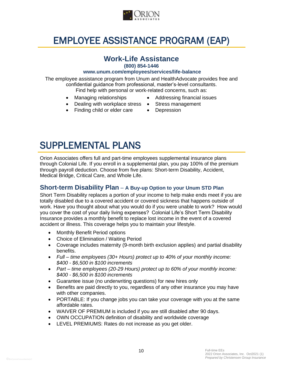

# EMPLOYEE ASSISTANCE PROGRAM (EAP)

### **Work-Life Assistance**

**(800) 854-1446** 

#### **www.unum.com/employees/services/life-balance**

The employee assistance program from Unum and HealthAdvocate provides free and confidential guidance from professional, master's-level consultants. Find help with personal or work-related concerns, such as:

- 
- Managing relationships Addressing financial issues
- Dealing with workplace stress Stress management
- Finding child or elder care Depression
- 

# SUPPLEMENTAL PLANS

Orion Associates offers full and part-time employees supplemental insurance plans through Colonial Life. If you enroll in a supplemental plan, you pay 100% of the premium through payroll deduction. Choose from five plans: Short-term Disability, Accident, Medical Bridge, Critical Care, and Whole Life.

#### **Short-term Disability Plan** – **A Buy-up Option to your Unum STD Plan**

Short Term Disability replaces a portion of your income to help make ends meet if you are totally disabled due to a covered accident or covered sickness that happens outside of work. Have you thought about what you would do if you were unable to work? How would you cover the cost of your daily living expenses? Colonial Life's Short Term Disability Insurance provides a monthly benefit to replace lost income in the event of a covered accident or illness. This coverage helps you to maintain your lifestyle.

- Monthly Benefit Period options
- Choice of Elimination / Waiting Period
- Coverage includes maternity (9-month birth exclusion applies) and partial disability benefits.
- *Full – time employees (30+ Hours) protect up to 40% of your monthly income: \$400 - \$6,500 in \$100 increments*
- *Part – time employees (20-29 Hours) protect up to 60% of your monthly income: \$400 - \$6,500 in \$100 increments*
- Guarantee issue (no underwriting questions) for new hires only
- Benefits are paid directly to you, regardless of any other insurance you may have with other companies.
- PORTABLE: If you change jobs you can take your coverage with you at the same affordable rates.
- WAIVER OF PREMIUM is included if you are still disabled after 90 days.
- OWN OCCUPATION definition of disability and worldwide coverage
- LEVEL PREMIUMS: Rates do not increase as you get older.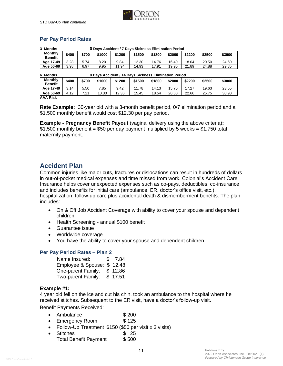

#### **Per Pay Period Rates**

| 0 Davs Accident / 7 Davs Sickness Elimination Period<br>3 Months  |       |       |        |        |        |        |        |        |        |        |
|-------------------------------------------------------------------|-------|-------|--------|--------|--------|--------|--------|--------|--------|--------|
| <b>Monthly</b><br><b>Benefit</b>                                  | \$400 | \$700 | \$1000 | \$1200 | \$1500 | \$1800 | \$2000 | \$2200 | \$2500 | \$3000 |
| Age 17-49                                                         | 3.28  | 5.74  | 8.20   | 9.84   | 12.30  | 14.76  | 16.40  | 18.04  | 20.50  | 24.60  |
| Age 50-69                                                         | 3.98  | 6.97  | 9.95   | 11.94  | 14.93  | 17.91  | 19.90  | 21.89  | 24.88  | 29.85  |
| 0 Davs Accident / 14 Davs Sickness Elimination Period<br>6 Months |       |       |        |        |        |        |        |        |        |        |
| <b>Monthly</b><br><b>Benefit</b>                                  | \$400 | \$700 | \$1000 | \$1200 | \$1500 | \$1800 | \$2000 | \$2200 | \$2500 | \$3000 |
| Age 17-49                                                         | 3.14  | 5.50  | 7.85   | 9.42   | 11.78  | 14.13  | 15.70  | 17.27  | 19.63  | 23.55  |

**Age 50-69** 4.12 7.21 10.30 12.36 15.45 18.54 20.60 22.66 25.75 30.90 **AAA Risk**

**Rate Example:** 30-year old with a 3-month benefit period, 0/7 elimination period and a \$1,500 monthly benefit would cost \$12.30 per pay period.

**Example - Pregnancy Benefit Payout** (vaginal delivery using the above criteria)**:**   $$1,500$  monthly benefit = \$50 per day payment multiplied by 5 weeks = \$1,750 total maternity payment.

#### **Accident Plan**

Common injuries like major cuts, fractures or dislocations can result in hundreds of dollars in out-of-pocket medical expenses and time missed from work. Colonial's Accident Care Insurance helps cover unexpected expenses such as co-pays, deductibles, co-insurance and includes benefits for initial care (ambulance, ER, doctor's office visit, etc.), hospitalization, follow-up care plus accidental death & dismemberment benefits. The plan includes:

- On & Off Job Accident Coverage with ability to cover your spouse and dependent children
- Health Screening annual \$100 benefit
- Guarantee issue
- Worldwide coverage
- You have the ability to cover your spouse and dependent children

#### **Per Pay Period Rates – Plan 2**

| Name Insured:              | \$ 7.84 |
|----------------------------|---------|
| Employee & Spouse: \$12.48 |         |
| One-parent Family: \$12.86 |         |
| Two-parent Family:         | \$17.51 |

#### **Example #1:**

4 year old fell on the ice and cut his chin, took an ambulance to the hospital where he received stitches. Subsequent to the ER visit, have a doctor's follow-up visit.

Benefit Payments Received:

- Ambulance \$200
- Emergency Room \$ 125
- Follow-Up Treatment \$150 (\$50 per visit x 3 visits)
- Stitches \$ 25 Total Benefit Payment \$ 500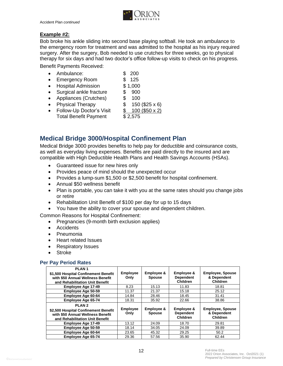

#### **Example #2:**

Bob broke his ankle sliding into second base playing softball. He took an ambulance to the emergency room for treatment and was admitted to the hospital as his injury required surgery. After the surgery, Bob needed to use crutches for three weeks, go to physical therapy for six days and had two doctor's office follow-up visits to check on his progress.

Benefit Payments Received:

- Ambulance: \$ 200
- Emergency Room  $$ 125$
- Hospital Admission \$1,000
- Surgical ankle fracture \$ 900
- Appliances (Crutches) \$ 100
- Physical Therapy  $$ 150 ($25 \times 6)$
- Follow-Up Doctor's Visit  $$ 100 ($50 x 2)$ Total Benefit Payment \$2,575

#### **Medical Bridge 3000/Hospital Confinement Plan**

Medical Bridge 3000 provides benefits to help pay for deductible and coinsurance costs, as well as everyday living expenses. Benefits are paid directly to the insured and are compatible with High Deductible Health Plans and Health Savings Accounts (HSAs).

- Guaranteed issue for new hires only
- Provides peace of mind should the unexpected occur
- Provides a lump-sum \$1,500 or \$2,500 benefit for hospital confinement.
- Annual \$50 wellness benefit
- Plan is portable, you can take it with you at the same rates should you change jobs or retire
- Rehabilitation Unit Benefit of \$100 per day for up to 15 days
- You have the ability to cover your spouse and dependent children.

Common Reasons for Hospital Confinement:

- Pregnancies (9-month birth exclusion applies)
- Accidents
- Pneumonia
- Heart related Issues
- Respiratory Issues
- Stroke

#### **Per Pay Period Rates**

| PLAN <sub>1</sub><br>\$1,500 Hospital Confinement Benefit<br>with \$50 Annual Wellness Benefit<br>and Rehabilitation Unit Benefit | <b>Employee</b><br>Only | Employee &<br><b>Spouse</b> | Employee &<br><b>Dependent</b><br><b>Children</b> | <b>Employee, Spouse</b><br>& Dependent<br><b>Children</b> |
|-----------------------------------------------------------------------------------------------------------------------------------|-------------------------|-----------------------------|---------------------------------------------------|-----------------------------------------------------------|
| Employee Age 17-49                                                                                                                | 8.23                    | 15.13                       | 11.83                                             | 18.81                                                     |
| Employee Age 50-59                                                                                                                | 11.37                   | 21.37                       | 15.18                                             | 25.12                                                     |
| Employee Age 60-64                                                                                                                | 14.84                   | 28.46                       | 18.45                                             | 31.41                                                     |
| Employee Age 65-74                                                                                                                | 18.31                   | 35.92                       | 22.66                                             | 38.86                                                     |
| PLAN <sub>2</sub><br>\$2,500 Hospital Confinement Benefit<br>with \$50 Annual Wellness Benefit<br>and Rehabilitation Unit Benefit | <b>Employee</b><br>Only | Employee &<br><b>Spouse</b> | Employee &<br><b>Dependent</b><br><b>Children</b> | <b>Employee, Spouse</b><br>& Dependent<br>Children        |
| Employee Age 17-49                                                                                                                | 13.12                   | 24.09                       | 18.70                                             | 29.81                                                     |
| Employee Age 50-59                                                                                                                | 18.14                   | 34.05                       | 24.09                                             | 39.89                                                     |
| Employee Age 60-64                                                                                                                | 23.65                   | 45.32                       | 29.25                                             | 50.2                                                      |
| Employee Age 65-74                                                                                                                | 29.36                   | 57.56                       | 35.90                                             | 62.44                                                     |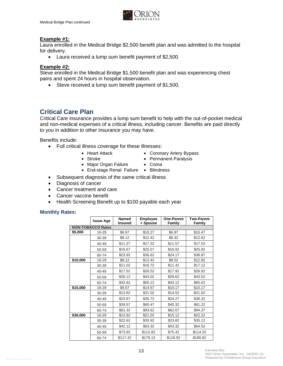

#### **Example #1:**

Laura enrolled in the Medical Bridge \$2,500 benefit plan and was admitted to the hospital for delivery.

• Laura received a lump sum benefit payment of \$2,500.

#### **Example #2:**

Steve enrolled in the Medical Bridge \$1,500 benefit plan and was experiencing chest pains and spent 24 hours in hospital observation.

• Steve received a lump sum benefit payment of \$1,500.

#### **Critical Care Plan**

Critical Care insurance provides a lump sum benefit to help with the out-of-pocket medical and non-medical expenses of a critical illness, including cancer. Benefits are paid directly to you in addition to other insurance you may have.

Benefits include:

- Full critical illness coverage for these illnesses:
	-
	-
	- Heart Attack Coronary Artery Bypass
	- Stroke Permanent Paralysis
	- Major Organ Failure Coma
	- End-stage Renal Failure Blindness
- Subsequent diagnosis of the same critical illness
- Diagnosis of cancer
- Cancer treatment and care
- Cancer vaccine benefit
- Health Screening Benefit up to \$100 payable each year

#### **Monthly Rates:**

|                          | <b>Issue Age</b> | <b>Named</b><br><b>Insured</b> | <b>Employee</b><br>+ Spouse | One-Parent<br>Family | <b>Two-Parent</b><br>Family |  |  |
|--------------------------|------------------|--------------------------------|-----------------------------|----------------------|-----------------------------|--|--|
| <b>NON-TOBACCO Rates</b> |                  |                                |                             |                      |                             |  |  |
| \$5,000                  | 16-29            | \$6.67                         | \$10.27                     | \$6.87               | \$10.47                     |  |  |
|                          | 30-39            | \$8.12                         | \$12.42                     | \$8.32               | \$12.62                     |  |  |
|                          | 40-49            | \$11.37                        | \$17.32                     | \$11.57              | \$17.52                     |  |  |
|                          | 50-59            | \$16.67                        | \$25.57                     | \$16.92              | \$25.82                     |  |  |
|                          | 60-74            | \$23.92                        | \$36.62                     | \$24.17              | \$36.87                     |  |  |
| \$10,000                 | 16-29            | \$8.12                         | \$12.42                     | \$8.52               | \$12.82                     |  |  |
|                          | 30-39            | \$11.02                        | \$16.72                     | \$11.42              | \$17.12                     |  |  |
|                          | 40-49            | \$17.52                        | \$26.52                     | \$17.92              | \$26.92                     |  |  |
|                          | 50-59            | \$28.12                        | \$43.02                     | \$28.62              | \$43.52                     |  |  |
|                          | 60-74            | \$42.62                        | \$65.12                     | \$43.12              | \$65.62                     |  |  |
| \$15,000                 | 16-29            | \$9.57                         | \$14.57                     | \$10.17              | \$15.17                     |  |  |
|                          | 30-39            | \$13.92                        | \$21.02                     | \$14.52              | \$21.62                     |  |  |
|                          | 40-49            | \$23.67                        | \$35.72                     | \$24.27              | \$36.32                     |  |  |
|                          | 50-59            | \$39.57                        | \$60.47                     | \$40.32              | \$61.22                     |  |  |
|                          | 60-74            | \$61.32                        | \$93.62                     | \$62.07              | \$94.37                     |  |  |
| \$30,000                 | 16-29            | \$13.92                        | \$21.02                     | \$15.12              | \$22.22                     |  |  |
|                          | 30-39            | \$22.62                        | \$33.92                     | \$23.82              | \$35.12                     |  |  |
|                          | 40-49            | \$42.12                        | \$63.32                     | \$43.32              | \$64.52                     |  |  |
|                          | 50-59            | \$73.92                        | \$112.82                    | \$75.42              | \$114.32                    |  |  |
|                          | 60-74            | \$117.42                       | \$179.12                    | \$118.92             | \$180.62                    |  |  |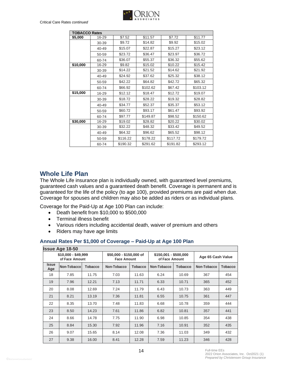

| <b>TOBACCO Rates</b> |           |          |          |          |          |  |  |
|----------------------|-----------|----------|----------|----------|----------|--|--|
| \$5,000              | 16-29     | \$7.52   | \$11.57  | \$7.72   | \$11.77  |  |  |
|                      | 30-39     | \$9.72   | \$14.82  | \$9.92   | \$15.02  |  |  |
|                      | 40-49     | \$15.07  | \$22.87  | \$15.27  | \$23.12  |  |  |
|                      | 50-59     | \$23.72  | \$36.47  | \$23.97  | \$36.72  |  |  |
|                      | 60-74     | \$36.07  | \$55.37  | \$36.32  | \$55.62  |  |  |
| \$10,000             | 16-29     | \$9.82   | \$15.02  | \$10.22  | \$15.42  |  |  |
|                      | 30-39     | \$14.22  | \$21.52  | \$14.62  | \$21.92  |  |  |
|                      | 40-49     | \$24.92  | \$37.62  | \$25.32  | \$38.12  |  |  |
|                      | 50-59     | \$42.22  | \$64.82  | \$42.72  | \$65.32  |  |  |
|                      | 60-74     | \$66.92  | \$102.62 | \$67.42  | \$103.12 |  |  |
| \$15,000             | 16-29     | \$12.12  | \$18.47  | \$12.72  | \$19.07  |  |  |
|                      | 30-39     | \$18.72  | \$28.22  | \$19.32  | \$28.82  |  |  |
|                      | $40 - 49$ | \$34.77  | \$52.37  | \$35.37  | \$53.12  |  |  |
|                      | 50-59     | \$60.72  | \$93.17  | \$61.47  | \$93.92  |  |  |
|                      | 60-74     | \$97.77  | \$149.87 | \$98.52  | \$150.62 |  |  |
| \$30,000             | 16-29     | \$19.02  | \$28.82  | \$20.22  | \$30.02  |  |  |
|                      | 30-39     | \$32.22  | \$48.32  | \$33.42  | \$49.52  |  |  |
|                      | 40-49     | \$64.32  | \$96.62  | \$65.52  | \$98.12  |  |  |
|                      | 50-59     | \$116.22 | \$178.22 | \$117.72 | \$179.72 |  |  |
|                      | 60-74     | \$190.32 | \$291.62 | \$191.82 | \$293.12 |  |  |

#### **Whole Life Plan**

The Whole Life insurance plan is individually owned, with guaranteed level premiums, guaranteed cash values and a guaranteed death benefit. Coverage is permanent and is guaranteed for the life of the policy (to age 100), provided premiums are paid when due. Coverage for spouses and children may also be added as riders or as individual plans.

Coverage for the Paid-Up at Age 100 Plan can include:

- Death benefit from \$10,000 to \$500,000
- Terminal illness benefit
- Various riders including accidental death, waiver of premium and others
- Riders may have age limits

#### **Annual Rates Per \$1,000 of Coverage – Paid-Up at Age 100 Plan**

|                                       | <b>Issue Age 18-50</b> |                |                                               |                |                                         |                |                   |                |
|---------------------------------------|------------------------|----------------|-----------------------------------------------|----------------|-----------------------------------------|----------------|-------------------|----------------|
| $$10,000 - $49,999$<br>of Face Amount |                        |                | \$50,000 - \$150,000 of<br><b>Face Amount</b> |                | \$150,001 - \$500,000<br>of Face Amount |                | Age 65 Cash Value |                |
| <b>Issue</b><br>Age                   | Non-Tobacco            | <b>Tobacco</b> | Non-Tobacco                                   | <b>Tobacco</b> | Non-Tobacco                             | <b>Tobacco</b> | Non-Tobacco       | <b>Tobacco</b> |
| 18                                    | 7.85                   | 11.75          | 7.03                                          | 11.63          | 6.24                                    | 10.69          | 367               | 454            |
| 19                                    | 7.96                   | 12.21          | 7.13                                          | 11.71          | 6.33                                    | 10.71          | 365               | 452            |
| 20                                    | 8.08                   | 12.69          | 7.24                                          | 11.79          | 6.43                                    | 10.73          | 363               | 449            |
| 21                                    | 8.21                   | 13.19          | 7.36                                          | 11.81          | 6.55                                    | 10.75          | 361               | 447            |
| 22                                    | 8.35                   | 13.70          | 7.48                                          | 11.83          | 6.68                                    | 10.78          | 359               | 444            |
| 23                                    | 8.50                   | 14.23          | 7.61                                          | 11.86          | 6.82                                    | 10.81          | 357               | 441            |
| 24                                    | 8.66                   | 14.78          | 7.75                                          | 11.90          | 6.98                                    | 10.85          | 354               | 438            |
| 25                                    | 8.84                   | 15.30          | 7.92                                          | 11.96          | 7.16                                    | 10.91          | 352               | 435            |
| 26                                    | 9.07                   | 15.65          | 8.14                                          | 12.08          | 7.36                                    | 11.03          | 349               | 432            |
| 27                                    | 9.38                   | 16.00          | 8.41                                          | 12.28          | 7.59                                    | 11.23          | 346               | 428            |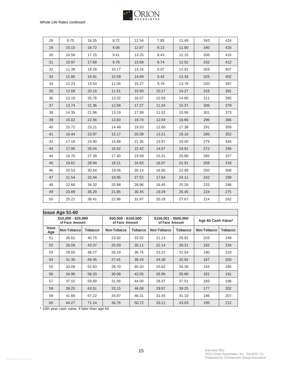

| 28 | 9.75  | 16.35 | 8.72  | 12.54 | 7.85  | 11.49 | 343 | 424 |
|----|-------|-------|-------|-------|-------|-------|-----|-----|
| 29 | 10.15 | 16.72 | 9.06  | 12.87 | 8.13  | 11.80 | 340 | 420 |
| 30 | 10.56 | 17.15 | 9.41  | 13.25 | 8.43  | 12.15 | 336 | 416 |
| 31 | 10.97 | 17.68 | 9.78  | 13.68 | 8.74  | 12.52 | 332 | 412 |
| 32 | 11.38 | 18.28 | 10.17 | 14.16 | 9.07  | 12.91 | 329 | 407 |
| 33 | 11.80 | 18.91 | 10.59 | 14.69 | 9.42  | 13.33 | 325 | 402 |
| 34 | 12.23 | 19.54 | 11.04 | 15.27 | 9.78  | 13.78 | 320 | 397 |
| 35 | 12.69 | 20.16 | 11.51 | 15.90 | 10.17 | 14.27 | 316 | 391 |
| 36 | 13.19 | 20.76 | 12.02 | 16.57 | 10.59 | 14.80 | 311 | 385 |
| 37 | 13.74 | 21.36 | 12.58 | 17.27 | 11.04 | 15.37 | 306 | 379 |
| 38 | 14.35 | 21.96 | 13.19 | 17.99 | 11.52 | 15.99 | 301 | 373 |
| 39 | 15.02 | 22.56 | 13.83 | 18.74 | 12.04 | 16.66 | 296 | 366 |
| 40 | 15.72 | 23.21 | 14.49 | 19.53 | 12.60 | 17.38 | 291 | 359 |
| 41 | 16.44 | 23.97 | 15.17 | 20.39 | 13.21 | 18.16 | 285 | 352 |
| 42 | 17.18 | 24.90 | 15.88 | 21.35 | 13.87 | 19.00 | 279 | 344 |
| 43 | 17.95 | 26.04 | 16.62 | 22.42 | 14.57 | 19.91 | 272 | 336 |
| 44 | 18.76 | 27.39 | 17.40 | 23.59 | 15.31 | 20.88 | 265 | 327 |
| 45 | 19.61 | 28.94 | 18.21 | 24.83 | 16.07 | 21.91 | 258 | 318 |
| 46 | 20.53 | 30.64 | 19.06 | 26.14 | 16.85 | 22.99 | 250 | 308 |
| 47 | 21.54 | 32.44 | 19.95 | 27.52 | 17.64 | 24.11 | 242 | 298 |
| 48 | 22.66 | 34.32 | 20.88 | 28.96 | 18.45 | 25.26 | 233 | 286 |
| 49 | 23.89 | 36.29 | 21.85 | 30.45 | 19.29 | 26.45 | 224 | 275 |
| 50 | 25.21 | 38.41 | 22.86 | 31.97 | 20.18 | 27.67 | 214 | 262 |
|    |       |       |       |       |       |       |     |     |

|                     | <b>Issue Age 51-60</b><br>$$10,000 - $29,999$ |                | \$30,000 - \$150,000 |                | $$150,001 - $500,000$ |                |                    |                |
|---------------------|-----------------------------------------------|----------------|----------------------|----------------|-----------------------|----------------|--------------------|----------------|
|                     | of Face Amount                                |                | of Face Amount       |                | of Face Amount        |                | Age 65 Cash Value* |                |
| <b>Issue</b><br>Age | Non-Tobacco                                   | <b>Tobacco</b> | Non-Tobacco          | <b>Tobacco</b> | Non-Tobacco           | <b>Tobacco</b> | Non-Tobacco        | <b>Tobacco</b> |
| 51                  | 26.61                                         | 40.75          | 23.92                | 33.52          | 21.13                 | 28.92          | 203                | 249            |
| 52                  | 28.09                                         | 43.37          | 25.03                | 35.11          | 22.14                 | 30.21          | 192                | 234            |
| 53                  | 29.65                                         | 46.27          | 26.19                | 36.75          | 23.22                 | 31.54          | 180                | 219            |
| 54                  | 31.30                                         | 49.45          | 27.41                | 38.44          | 24.38                 | 32.92          | 167                | 203            |
| 55                  | 33.06                                         | 52.83          | 28.70                | 40.20          | 25.62                 | 34.36          | 154                | 185            |
| 56                  | 34.96                                         | 56.33          | 30.08                | 42.05          | 26.95                 | 35.88          | 161                | 191            |
| 57                  | 37.02                                         | 59.89          | 31.56                | 44.00          | 28.37                 | 37.51          | 169                | 196            |
| 58                  | 39.25                                         | 63.51          | 33.15                | 46.08          | 29.87                 | 39.25          | 177                | 202            |
| 59                  | 41.66                                         | 67.22          | 34.87                | 48.31          | 31.45                 | 41.10          | 186                | 207            |
| 60                  | 44.27                                         | 71.14          | 36.76                | 50.72          | 33.11                 | 43.03          | 195                | 212            |

\* 10th year cash value, if later than age 65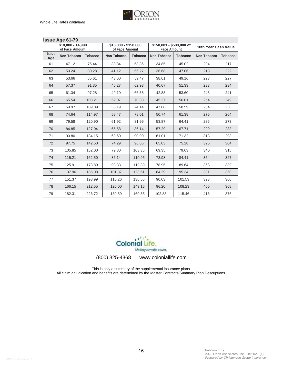

| <b>Issue Age 61-79</b>              |             |                |                                        |                |                                                |                |                      |                |
|-------------------------------------|-------------|----------------|----------------------------------------|----------------|------------------------------------------------|----------------|----------------------|----------------|
| \$10,000 - 14,999<br>of Face Amount |             |                | \$15,000 - \$150,000<br>of Face Amount |                | \$150,001 - \$500,000 of<br><b>Face Amount</b> |                | 10th Year Cash Value |                |
| <b>Issue</b><br>Age                 | Non-Tobacco | <b>Tobacco</b> | Non-Tobacco                            | <b>Tobacco</b> | Non-Tobacco                                    | <b>Tobacco</b> | Non-Tobacco          | <b>Tobacco</b> |
| 61                                  | 47.12       | 75.44          | 38.84                                  | 53.36          | 34.85                                          | 45.02          | 204                  | 217            |
| 62                                  | 50.24       | 80.28          | 41.12                                  | 56.27          | 36.68                                          | 47.06          | 213                  | 222            |
| 63                                  | 53.66       | 85.61          | 43.60                                  | 59.47          | 38.61                                          | 49.16          | 223                  | 227            |
| 64                                  | 57.37       | 91.35          | 46.27                                  | 62.93          | 40.67                                          | 51.33          | 233                  | 234            |
| 65                                  | 61.34       | 97.28          | 49.10                                  | 66.58          | 42.88                                          | 53.60          | 243                  | 241            |
| 66                                  | 65.54       | 103.21         | 52.07                                  | 70.33          | 45.27                                          | 56.01          | 254                  | 249            |
| 67                                  | 69.97       | 109.09         | 55.19                                  | 74.14          | 47.88                                          | 58.59          | 264                  | 256            |
| 68                                  | 74.64       | 114.97         | 58.47                                  | 78.01          | 50.74                                          | 61.38          | 275                  | 264            |
| 69                                  | 79.58       | 120.90         | 61.92                                  | 81.99          | 53.87                                          | 64.41          | 286                  | 273            |
| 70                                  | 84.85       | 127.04         | 65.58                                  | 86.14          | 57.29                                          | 67.71          | 299                  | 283            |
| 71                                  | 90.80       | 134.15         | 69.60                                  | 90.90          | 61.01                                          | 71.32          | 313                  | 293            |
| 72                                  | 97.75       | 142.50         | 74.29                                  | 96.65          | 65.03                                          | 75.28          | 326                  | 304            |
| 73                                  | 105.85      | 152.00         | 79.80                                  | 103.35         | 69.35                                          | 79.63          | 340                  | 315            |
| 74                                  | 115.21      | 162.50         | 86.14                                  | 110.95         | 73.98                                          | 84.41          | 354                  | 327            |
| 75                                  | 125.91      | 173.89         | 93.33                                  | 119.39         | 78.95                                          | 89.64          | 368                  | 339            |
| 76                                  | 137.96      | 186.08         | 101.37                                 | 128.61         | 84.29                                          | 95.34          | 381                  | 350            |
| 77                                  | 151.37      | 198.99         | 110.26                                 | 138.55         | 90.03                                          | 101.53         | 393                  | 360            |
| 78                                  | 166.15      | 212.55         | 120.00                                 | 149.15         | 96.20                                          | 108.23         | 405                  | 368            |
| 79                                  | 182.31      | 226.72         | 130.59                                 | 160.35         | 102.83                                         | 115.46         | 415                  | 376            |



(800) 325-4368 www.coloniallife.com

This is only a summary of the supplemental insurance plans. All claim adjudication and benefits are determined by the Master Contracts/Summary Plan Descriptions.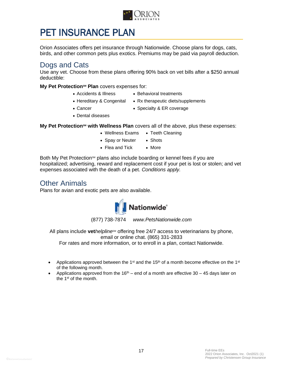

# PET INSURANCE PLAN

Orion Associates offers pet insurance through Nationwide. Choose plans for dogs, cats, birds, and other common pets plus exotics. Premiums may be paid via payroll deduction.

### Dogs and Cats

Use any vet. Choose from these plans offering 90% back on vet bills after a \$250 annual deductible:

**My Pet Protection<sup>sM</sup> Plan** covers expenses for:

- Accidents & Illness Behavioral treatments
- Hereditary & Congenital Rx therapeutic diets/supplements
- Cancer Specialty & ER coverage
- Dental diseases

**My Pet Protection<sup>sM</sup> with Wellness Plan** covers all of the above, plus these expenses:

- Wellness Exams Teeth Cleaning
- Spay or Neuter Shots
- Flea and Tick More

Both My Pet Protection<sup>sM</sup> plans also include boarding or kennel fees if you are hospitalized; advertising, reward and replacement cost if your pet is lost or stolen; and vet expenses associated with the death of a pet. *Conditions apply.*

#### Other Animals

Plans for avian and exotic pets are also available.



(877) 738-7874 *www.PetsNationwide.com*

All plans include **vet***helpline<sup>sM</sup>* offering free 24/7 access to veterinarians by phone, email or online chat. (865) 331-2833 For rates and more information, or to enroll in a plan, contact Nationwide.

- Applications approved between the 1<sup>st</sup> and the 15<sup>th</sup> of a month become effective on the 1<sup>st</sup> of the following month.
- Applications approved from the 16<sup>th</sup> end of a month are effective 30 45 days later on the 1st of the month.